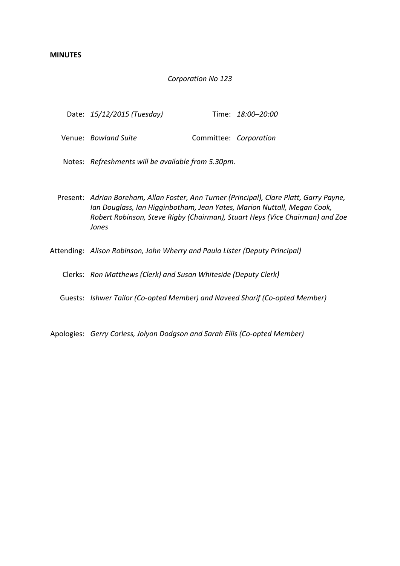## *Corporation No 123*

|  | Date: 15/12/2015 (Tuesday) |  | Time: 18:00-20:00 |
|--|----------------------------|--|-------------------|
|--|----------------------------|--|-------------------|

- Venue: *Bowland Suite* **Committee:** *Corporation*
- Notes: *Refreshments will be available from 5.30pm.*
- Present: *Adrian Boreham, Allan Foster, Ann Turner (Principal), Clare Platt, Garry Payne, Ian Douglass, Ian Higginbotham, Jean Yates, Marion Nuttall, Megan Cook, Robert Robinson, Steve Rigby (Chairman), Stuart Heys (Vice Chairman) and Zoe Jones*
- Attending: *Alison Robinson, John Wherry and Paula Lister (Deputy Principal)*
	- Clerks: *Ron Matthews (Clerk) and Susan Whiteside (Deputy Clerk)*
	- Guests: *Ishwer Tailor (Co-opted Member) and Naveed Sharif (Co-opted Member)*
- Apologies: *Gerry Corless, Jolyon Dodgson and Sarah Ellis (Co-opted Member)*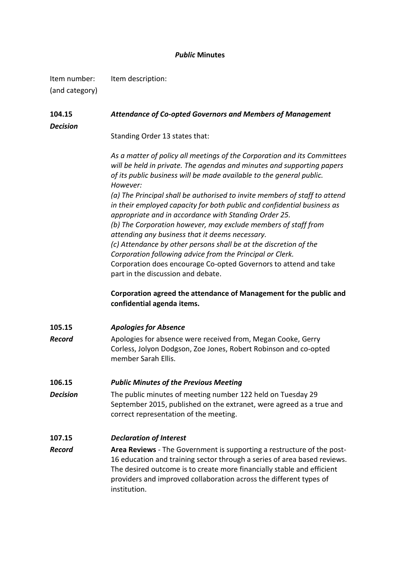# *Public* **Minutes**

| Item number:<br>(and category) | Item description:                                                                                                                                                                                                                                                                                                  |
|--------------------------------|--------------------------------------------------------------------------------------------------------------------------------------------------------------------------------------------------------------------------------------------------------------------------------------------------------------------|
| 104.15<br><b>Decision</b>      | <b>Attendance of Co-opted Governors and Members of Management</b>                                                                                                                                                                                                                                                  |
|                                | Standing Order 13 states that:                                                                                                                                                                                                                                                                                     |
|                                | As a matter of policy all meetings of the Corporation and its Committees<br>will be held in private. The agendas and minutes and supporting papers<br>of its public business will be made available to the general public.<br>However:                                                                             |
|                                | (a) The Principal shall be authorised to invite members of staff to attend<br>in their employed capacity for both public and confidential business as<br>appropriate and in accordance with Standing Order 25.                                                                                                     |
|                                | (b) The Corporation however, may exclude members of staff from<br>attending any business that it deems necessary.                                                                                                                                                                                                  |
|                                | (c) Attendance by other persons shall be at the discretion of the                                                                                                                                                                                                                                                  |
|                                | Corporation following advice from the Principal or Clerk.                                                                                                                                                                                                                                                          |
|                                | Corporation does encourage Co-opted Governors to attend and take<br>part in the discussion and debate.                                                                                                                                                                                                             |
|                                | Corporation agreed the attendance of Management for the public and<br>confidential agenda items.                                                                                                                                                                                                                   |
| 105.15                         | <b>Apologies for Absence</b>                                                                                                                                                                                                                                                                                       |
| Record                         | Apologies for absence were received from, Megan Cooke, Gerry<br>Corless, Jolyon Dodgson, Zoe Jones, Robert Robinson and co-opted<br>member Sarah Ellis.                                                                                                                                                            |
| 106.15                         | <b>Public Minutes of the Previous Meeting</b>                                                                                                                                                                                                                                                                      |
| <b>Decision</b>                | The public minutes of meeting number 122 held on Tuesday 29<br>September 2015, published on the extranet, were agreed as a true and<br>correct representation of the meeting.                                                                                                                                      |
| 107.15                         | <b>Declaration of Interest</b>                                                                                                                                                                                                                                                                                     |
| Record                         | Area Reviews - The Government is supporting a restructure of the post-<br>16 education and training sector through a series of area based reviews.<br>The desired outcome is to create more financially stable and efficient<br>providers and improved collaboration across the different types of<br>institution. |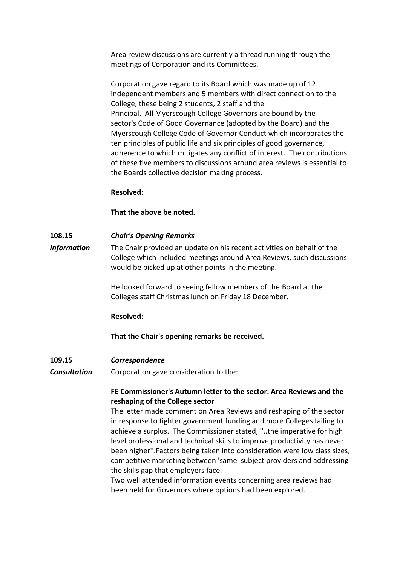Area review discussions are currently a thread running through the meetings of Corporation and its Committees.

Corporation gave regard to its Board which was made up of 12 independent members and 5 members with direct connection to the College, these being 2 students, 2 staff and the Principal. All Myerscough College Governors are bound by the sector's Code of Good Governance (adopted by the Board) and the Myerscough College Code of Governor Conduct which incorporates the ten principles of public life and six principles of good governance, adherence to which mitigates any conflict of interest. The contributions of these five members to discussions around area reviews is essential to the Boards collective decision making process.

# **Resolved:**

# **That the above be noted.**

### **108.15** *Chair's Opening Remarks*

*Information* The Chair provided an update on his recent activities on behalf of the College which included meetings around Area Reviews, such discussions would be picked up at other points in the meeting.

> He looked forward to seeing fellow members of the Board at the Colleges staff Christmas lunch on Friday 18 December.

### **Resolved:**

# **That the Chair's opening remarks be received.**

### **109.15** *Correspondence*

*Consultation* Corporation gave consideration to the:

# **FE Commissioner's Autumn letter to the sector: Area Reviews and the reshaping of the College sector**

The letter made comment on Area Reviews and reshaping of the sector in response to tighter government funding and more Colleges failing to achieve a surplus. The Commissioner stated, ''..the imperative for high level professional and technical skills to improve productivity has never been higher''.Factors being taken into consideration were low class sizes, competitive marketing between 'same' subject providers and addressing the skills gap that employers face.

Two well attended information events concerning area reviews had been held for Governors where options had been explored.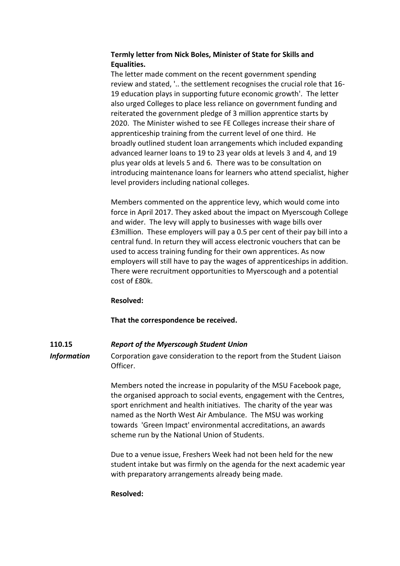# **Termly letter from Nick Boles, Minister of State for Skills and Equalities.**

The letter made comment on the recent government spending review and stated, '.. the settlement recognises the crucial role that 16- 19 education plays in supporting future economic growth'. The letter also urged Colleges to place less reliance on government funding and reiterated the government pledge of 3 million apprentice starts by 2020. The Minister wished to see FE Colleges increase their share of apprenticeship training from the current level of one third. He broadly outlined student loan arrangements which included expanding advanced learner loans to 19 to 23 year olds at levels 3 and 4, and 19 plus year olds at levels 5 and 6. There was to be consultation on introducing maintenance loans for learners who attend specialist, higher level providers including national colleges.

Members commented on the apprentice levy, which would come into force in April 2017. They asked about the impact on Myerscough College and wider. The levy will apply to businesses with wage bills over £3million. These employers will pay a 0.5 per cent of their pay bill into a central fund. In return they will access electronic vouchers that can be used to access training funding for their own apprentices. As now employers will still have to pay the wages of apprenticeships in addition. There were recruitment opportunities to Myerscough and a potential cost of £80k.

# **Resolved:**

**That the correspondence be received.**

# **110.15** *Report of the Myerscough Student Union*

*Information* Corporation gave consideration to the report from the Student Liaison Officer.

> Members noted the increase in popularity of the MSU Facebook page, the organised approach to social events, engagement with the Centres, sport enrichment and health initiatives. The charity of the year was named as the North West Air Ambulance. The MSU was working towards 'Green Impact' environmental accreditations, an awards scheme run by the National Union of Students.

> Due to a venue issue, Freshers Week had not been held for the new student intake but was firmly on the agenda for the next academic year with preparatory arrangements already being made.

**Resolved:**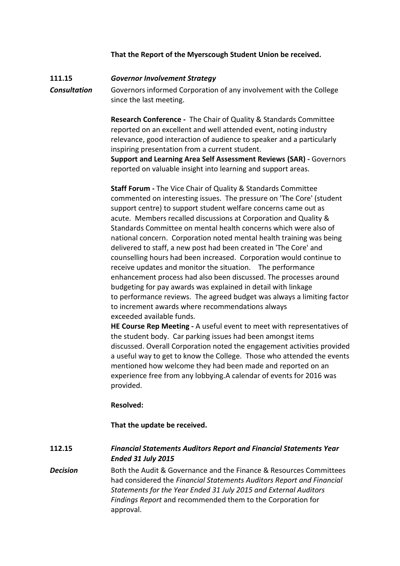# **That the Report of the Myerscough Student Union be received.**

# **111.15** *Governor Involvement Strategy*

*Consultation* Governors informed Corporation of any involvement with the College since the last meeting.

> **Research Conference -** The Chair of Quality & Standards Committee reported on an excellent and well attended event, noting industry relevance, good interaction of audience to speaker and a particularly inspiring presentation from a current student.

**Support and Learning Area Self Assessment Reviews (SAR) -** Governors reported on valuable insight into learning and support areas.

**Staff Forum -** The Vice Chair of Quality & Standards Committee commented on interesting issues. The pressure on 'The Core' (student support centre) to support student welfare concerns came out as acute. Members recalled discussions at Corporation and Quality & Standards Committee on mental health concerns which were also of national concern. Corporation noted mental health training was being delivered to staff, a new post had been created in 'The Core' and counselling hours had been increased. Corporation would continue to receive updates and monitor the situation. The performance enhancement process had also been discussed. The processes around budgeting for pay awards was explained in detail with linkage to performance reviews. The agreed budget was always a limiting factor to increment awards where recommendations always exceeded available funds.

**HE Course Rep Meeting -** A useful event to meet with representatives of the student body. Car parking issues had been amongst items discussed. Overall Corporation noted the engagement activities provided a useful way to get to know the College. Those who attended the events mentioned how welcome they had been made and reported on an experience free from any lobbying.A calendar of events for 2016 was provided.

### **Resolved:**

# **That the update be received.**

**112.15** *Financial Statements Auditors Report and Financial Statements Year Ended 31 July 2015*

**Decision** Both the Audit & Governance and the Finance & Resources Committees had considered the *Financial Statements Auditors Report and Financial Statements for the Year Ended 31 July 2015 and External Auditors Findings Report* and recommended them to the Corporation for approval.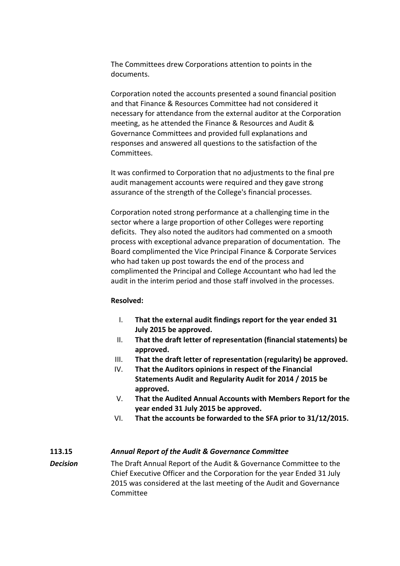The Committees drew Corporations attention to points in the documents.

Corporation noted the accounts presented a sound financial position and that Finance & Resources Committee had not considered it necessary for attendance from the external auditor at the Corporation meeting, as he attended the Finance & Resources and Audit & Governance Committees and provided full explanations and responses and answered all questions to the satisfaction of the Committees.

It was confirmed to Corporation that no adjustments to the final pre audit management accounts were required and they gave strong assurance of the strength of the College's financial processes.

Corporation noted strong performance at a challenging time in the sector where a large proportion of other Colleges were reporting deficits. They also noted the auditors had commented on a smooth process with exceptional advance preparation of documentation. The Board complimented the Vice Principal Finance & Corporate Services who had taken up post towards the end of the process and complimented the Principal and College Accountant who had led the audit in the interim period and those staff involved in the processes.

#### **Resolved:**

- I. **That the external audit findings report for the year ended 31 July 2015 be approved.**
- II. **That the draft letter of representation (financial statements) be approved.**
- III. **That the draft letter of representation (regularity) be approved.**
- IV. **That the Auditors opinions in respect of the Financial Statements Audit and Regularity Audit for 2014 / 2015 be approved.**
- V. **That the Audited Annual Accounts with Members Report for the year ended 31 July 2015 be approved.**
- VI. **That the accounts be forwarded to the SFA prior to 31/12/2015.**

# **113.15** *Annual Report of the Audit & Governance Committee*

*Decision* The Draft Annual Report of the Audit & Governance Committee to the Chief Executive Officer and the Corporation for the year Ended 31 July 2015 was considered at the last meeting of the Audit and Governance Committee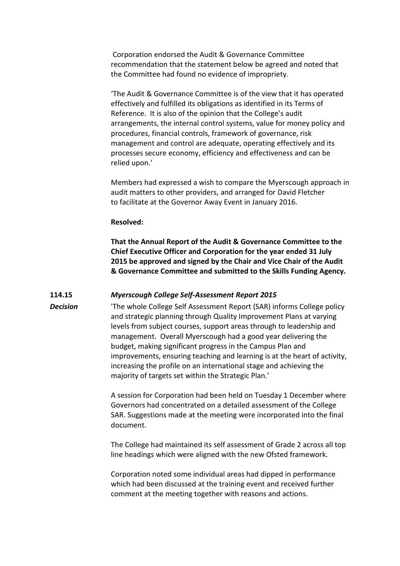Corporation endorsed the Audit & Governance Committee recommendation that the statement below be agreed and noted that the Committee had found no evidence of impropriety.

'The Audit & Governance Committee is of the view that it has operated effectively and fulfilled its obligations as identified in its Terms of Reference. It is also of the opinion that the College's audit arrangements, the internal control systems, value for money policy and procedures, financial controls, framework of governance, risk management and control are adequate, operating effectively and its processes secure economy, efficiency and effectiveness and can be relied upon.'

Members had expressed a wish to compare the Myerscough approach in audit matters to other providers, and arranged for David Fletcher to facilitate at the Governor Away Event in January 2016.

#### **Resolved:**

**That the Annual Report of the Audit & Governance Committee to the Chief Executive Officer and Corporation for the year ended 31 July 2015 be approved and signed by the Chair and Vice Chair of the Audit & Governance Committee and submitted to the Skills Funding Agency.**

## **114.15** *Myerscough College Self-Assessment Report 2015*

*Decision* 'The whole College Self Assessment Report (SAR) informs College policy and strategic planning through Quality Improvement Plans at varying levels from subject courses, support areas through to leadership and management. Overall Myerscough had a good year delivering the budget, making significant progress in the Campus Plan and improvements, ensuring teaching and learning is at the heart of activity, increasing the profile on an international stage and achieving the majority of targets set within the Strategic Plan.'

> A session for Corporation had been held on Tuesday 1 December where Governors had concentrated on a detailed assessment of the College SAR. Suggestions made at the meeting were incorporated into the final document.

> The College had maintained its self assessment of Grade 2 across all top line headings which were aligned with the new Ofsted framework.

Corporation noted some individual areas had dipped in performance which had been discussed at the training event and received further comment at the meeting together with reasons and actions.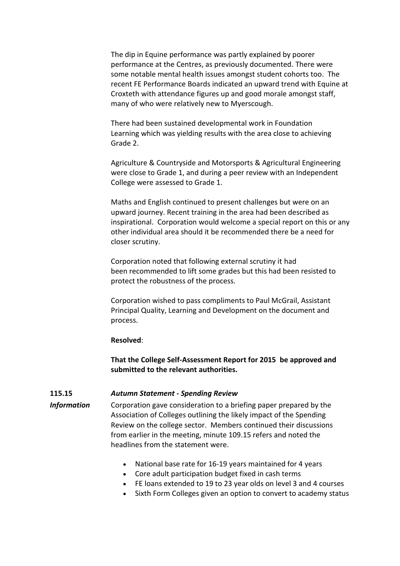The dip in Equine performance was partly explained by poorer performance at the Centres, as previously documented. There were some notable mental health issues amongst student cohorts too. The recent FE Performance Boards indicated an upward trend with Equine at Croxteth with attendance figures up and good morale amongst staff, many of who were relatively new to Myerscough.

There had been sustained developmental work in Foundation Learning which was yielding results with the area close to achieving Grade 2.

Agriculture & Countryside and Motorsports & Agricultural Engineering were close to Grade 1, and during a peer review with an Independent College were assessed to Grade 1.

Maths and English continued to present challenges but were on an upward journey. Recent training in the area had been described as inspirational. Corporation would welcome a special report on this or any other individual area should it be recommended there be a need for closer scrutiny.

Corporation noted that following external scrutiny it had been recommended to lift some grades but this had been resisted to protect the robustness of the process.

Corporation wished to pass compliments to Paul McGrail, Assistant Principal Quality, Learning and Development on the document and process.

#### **Resolved**:

**That the College Self-Assessment Report for 2015 be approved and submitted to the relevant authorities.**

# **115.15** *Autumn Statement - Spending Review*

*Information* Corporation gave consideration to a briefing paper prepared by the Association of Colleges outlining the likely impact of the Spending Review on the college sector. Members continued their discussions from earlier in the meeting, minute 109.15 refers and noted the headlines from the statement were.

- National base rate for 16-19 years maintained for 4 years
- Core adult participation budget fixed in cash terms
- FE loans extended to 19 to 23 year olds on level 3 and 4 courses
- Sixth Form Colleges given an option to convert to academy status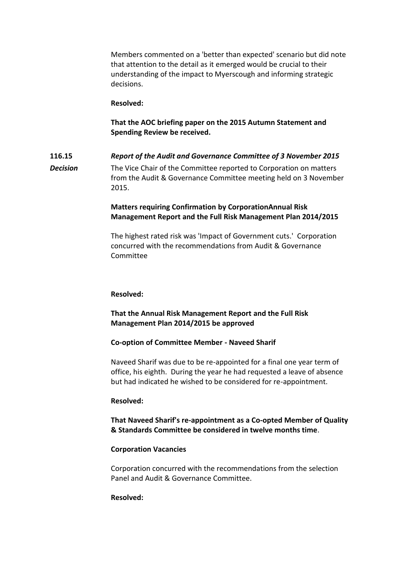Members commented on a 'better than expected' scenario but did note that attention to the detail as it emerged would be crucial to their understanding of the impact to Myerscough and informing strategic decisions.

### **Resolved:**

**That the AOC briefing paper on the 2015 Autumn Statement and Spending Review be received.**

**116.15** *Report of the Audit and Governance Committee of 3 November 2015 Decision* The Vice Chair of the Committee reported to Corporation on matters from the Audit & Governance Committee meeting held on 3 November 2015.

# **Matters requiring Confirmation by CorporationAnnual Risk Management Report and the Full Risk Management Plan 2014/2015**

The highest rated risk was 'Impact of Government cuts.' Corporation concurred with the recommendations from Audit & Governance Committee

#### **Resolved:**

# **That the Annual Risk Management Report and the Full Risk Management Plan 2014/2015 be approved**

#### **Co-option of Committee Member - Naveed Sharif**

Naveed Sharif was due to be re-appointed for a final one year term of office, his eighth. During the year he had requested a leave of absence but had indicated he wished to be considered for re-appointment.

#### **Resolved:**

**That Naveed Sharif's re-appointment as a Co-opted Member of Quality & Standards Committee be considered in twelve months time**.

### **Corporation Vacancies**

Corporation concurred with the recommendations from the selection Panel and Audit & Governance Committee.

### **Resolved:**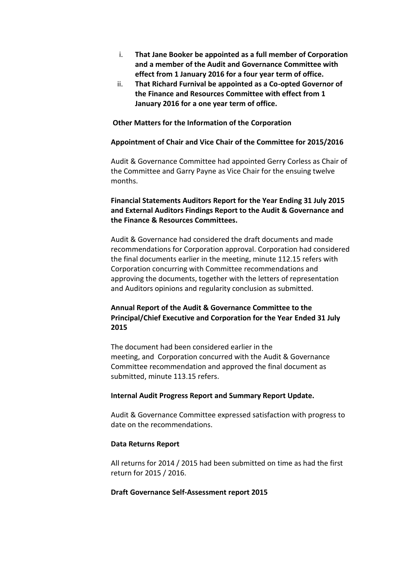- i. **That Jane Booker be appointed as a full member of Corporation and a member of the Audit and Governance Committee with effect from 1 January 2016 for a four year term of office.**
- ii. **That Richard Furnival be appointed as a Co-opted Governor of the Finance and Resources Committee with effect from 1 January 2016 for a one year term of office.**

### **Other Matters for the Information of the Corporation**

#### **Appointment of Chair and Vice Chair of the Committee for 2015/2016**

Audit & Governance Committee had appointed Gerry Corless as Chair of the Committee and Garry Payne as Vice Chair for the ensuing twelve months.

# **Financial Statements Auditors Report for the Year Ending 31 July 2015 and External Auditors Findings Report to the Audit & Governance and the Finance & Resources Committees.**

Audit & Governance had considered the draft documents and made recommendations for Corporation approval. Corporation had considered the final documents earlier in the meeting, minute 112.15 refers with Corporation concurring with Committee recommendations and approving the documents, together with the letters of representation and Auditors opinions and regularity conclusion as submitted.

# **Annual Report of the Audit & Governance Committee to the Principal/Chief Executive and Corporation for the Year Ended 31 July 2015**

The document had been considered earlier in the meeting, and Corporation concurred with the Audit & Governance Committee recommendation and approved the final document as submitted, minute 113.15 refers.

#### **Internal Audit Progress Report and Summary Report Update.**

Audit & Governance Committee expressed satisfaction with progress to date on the recommendations.

#### **Data Returns Report**

All returns for 2014 / 2015 had been submitted on time as had the first return for 2015 / 2016.

#### **Draft Governance Self-Assessment report 2015**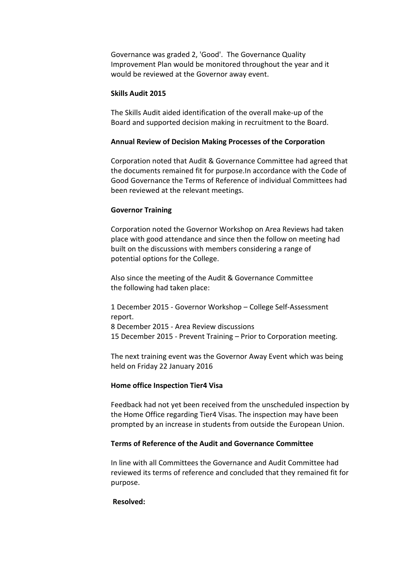Governance was graded 2, 'Good'. The Governance Quality Improvement Plan would be monitored throughout the year and it would be reviewed at the Governor away event.

### **Skills Audit 2015**

The Skills Audit aided identification of the overall make-up of the Board and supported decision making in recruitment to the Board.

#### **Annual Review of Decision Making Processes of the Corporation**

Corporation noted that Audit & Governance Committee had agreed that the documents remained fit for purpose.In accordance with the Code of Good Governance the Terms of Reference of individual Committees had been reviewed at the relevant meetings.

#### **Governor Training**

Corporation noted the Governor Workshop on Area Reviews had taken place with good attendance and since then the follow on meeting had built on the discussions with members considering a range of potential options for the College.

Also since the meeting of the Audit & Governance Committee the following had taken place:

1 December 2015 - Governor Workshop – College Self-Assessment report. 8 December 2015 - Area Review discussions 15 December 2015 - Prevent Training – Prior to Corporation meeting.

The next training event was the Governor Away Event which was being held on Friday 22 January 2016

### **Home office Inspection Tier4 Visa**

Feedback had not yet been received from the unscheduled inspection by the Home Office regarding Tier4 Visas. The inspection may have been prompted by an increase in students from outside the European Union.

#### **Terms of Reference of the Audit and Governance Committee**

In line with all Committees the Governance and Audit Committee had reviewed its terms of reference and concluded that they remained fit for purpose.

#### **Resolved:**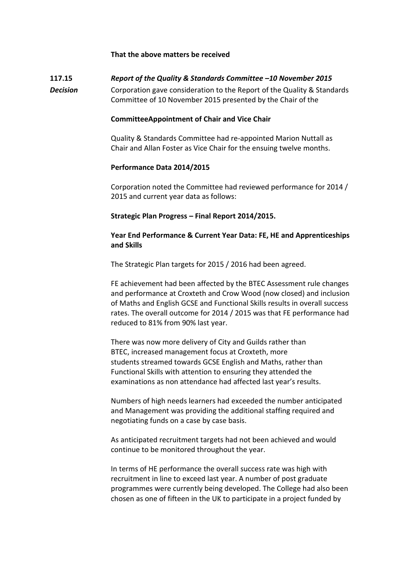## **That the above matters be received**

# **117.15** *Report of the Quality & Standards Committee –10 November 2015*

*Decision* Corporation gave consideration to the Report of the Quality & Standards Committee of 10 November 2015 presented by the Chair of the

### **CommitteeAppointment of Chair and Vice Chair**

Quality & Standards Committee had re-appointed Marion Nuttall as Chair and Allan Foster as Vice Chair for the ensuing twelve months.

#### **Performance Data 2014/2015**

Corporation noted the Committee had reviewed performance for 2014 / 2015 and current year data as follows:

## **Strategic Plan Progress – Final Report 2014/2015.**

# **Year End Performance & Current Year Data: FE, HE and Apprenticeships and Skills**

The Strategic Plan targets for 2015 / 2016 had been agreed.

FE achievement had been affected by the BTEC Assessment rule changes and performance at Croxteth and Crow Wood (now closed) and inclusion of Maths and English GCSE and Functional Skills results in overall success rates. The overall outcome for 2014 / 2015 was that FE performance had reduced to 81% from 90% last year.

There was now more delivery of City and Guilds rather than BTEC, increased management focus at Croxteth, more students streamed towards GCSE English and Maths, rather than Functional Skills with attention to ensuring they attended the examinations as non attendance had affected last year's results.

Numbers of high needs learners had exceeded the number anticipated and Management was providing the additional staffing required and negotiating funds on a case by case basis.

As anticipated recruitment targets had not been achieved and would continue to be monitored throughout the year.

In terms of HE performance the overall success rate was high with recruitment in line to exceed last year. A number of post graduate programmes were currently being developed. The College had also been chosen as one of fifteen in the UK to participate in a project funded by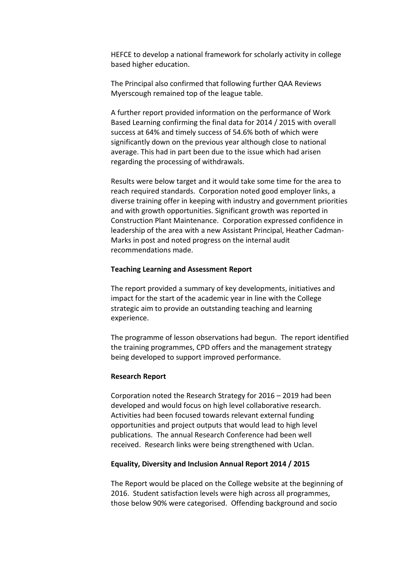HEFCE to develop a national framework for scholarly activity in college based higher education.

The Principal also confirmed that following further QAA Reviews Myerscough remained top of the league table.

A further report provided information on the performance of Work Based Learning confirming the final data for 2014 / 2015 with overall success at 64% and timely success of 54.6% both of which were significantly down on the previous year although close to national average. This had in part been due to the issue which had arisen regarding the processing of withdrawals.

Results were below target and it would take some time for the area to reach required standards. Corporation noted good employer links, a diverse training offer in keeping with industry and government priorities and with growth opportunities. Significant growth was reported in Construction Plant Maintenance. Corporation expressed confidence in leadership of the area with a new Assistant Principal, Heather Cadman-Marks in post and noted progress on the internal audit recommendations made.

## **Teaching Learning and Assessment Report**

The report provided a summary of key developments, initiatives and impact for the start of the academic year in line with the College strategic aim to provide an outstanding teaching and learning experience.

The programme of lesson observations had begun. The report identified the training programmes, CPD offers and the management strategy being developed to support improved performance.

#### **Research Report**

Corporation noted the Research Strategy for 2016 – 2019 had been developed and would focus on high level collaborative research. Activities had been focused towards relevant external funding opportunities and project outputs that would lead to high level publications. The annual Research Conference had been well received. Research links were being strengthened with Uclan.

### **Equality, Diversity and Inclusion Annual Report 2014 / 2015**

The Report would be placed on the College website at the beginning of 2016. Student satisfaction levels were high across all programmes, those below 90% were categorised. Offending background and socio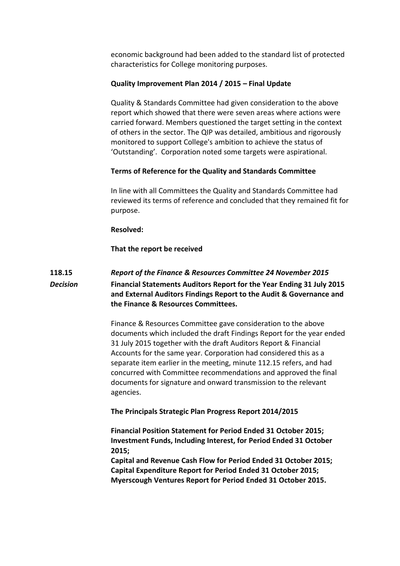economic background had been added to the standard list of protected characteristics for College monitoring purposes.

# **Quality Improvement Plan 2014 / 2015 – Final Update**

Quality & Standards Committee had given consideration to the above report which showed that there were seven areas where actions were carried forward. Members questioned the target setting in the context of others in the sector. The QIP was detailed, ambitious and rigorously monitored to support College's ambition to achieve the status of 'Outstanding'. Corporation noted some targets were aspirational.

# **Terms of Reference for the Quality and Standards Committee**

In line with all Committees the Quality and Standards Committee had reviewed its terms of reference and concluded that they remained fit for purpose.

### **Resolved:**

**That the report be received**

# **118.15** *Report of the Finance & Resources Committee 24 November 2015 Decision* **Financial Statements Auditors Report for the Year Ending 31 July 2015 and External Auditors Findings Report to the Audit & Governance and the Finance & Resources Committees.**

Finance & Resources Committee gave consideration to the above documents which included the draft Findings Report for the year ended 31 July 2015 together with the draft Auditors Report & Financial Accounts for the same year. Corporation had considered this as a separate item earlier in the meeting, minute 112.15 refers, and had concurred with Committee recommendations and approved the final documents for signature and onward transmission to the relevant agencies.

**The Principals Strategic Plan Progress Report 2014/2015**

**Financial Position Statement for Period Ended 31 October 2015; Investment Funds, Including Interest, for Period Ended 31 October 2015;**

**Capital and Revenue Cash Flow for Period Ended 31 October 2015; Capital Expenditure Report for Period Ended 31 October 2015; Myerscough Ventures Report for Period Ended 31 October 2015.**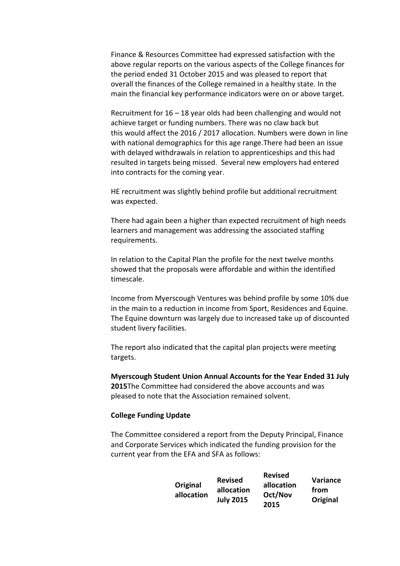Finance & Resources Committee had expressed satisfaction with the above regular reports on the various aspects of the College finances for the period ended 31 October 2015 and was pleased to report that overall the finances of the College remained in a healthy state. In the main the financial key performance indicators were on or above target.

Recruitment for 16 – 18 year olds had been challenging and would not achieve target or funding numbers. There was no claw back but this would affect the 2016 / 2017 allocation. Numbers were down in line with national demographics for this age range.There had been an issue with delayed withdrawals in relation to apprenticeships and this had resulted in targets being missed. Several new employers had entered into contracts for the coming year.

HE recruitment was slightly behind profile but additional recruitment was expected.

There had again been a higher than expected recruitment of high needs learners and management was addressing the associated staffing requirements.

In relation to the Capital Plan the profile for the next twelve months showed that the proposals were affordable and within the identified timescale.

Income from Myerscough Ventures was behind profile by some 10% due in the main to a reduction in income from Sport, Residences and Equine. The Equine downturn was largely due to increased take up of discounted student livery facilities.

The report also indicated that the capital plan projects were meeting targets.

**Myerscough Student Union Annual Accounts for the Year Ended 31 July 2015**The Committee had considered the above accounts and was pleased to note that the Association remained solvent.

# **College Funding Update**

The Committee considered a report from the Deputy Principal, Finance and Corporate Services which indicated the funding provision for the current year from the EFA and SFA as follows:

| Original<br>allocation | <b>Revised</b><br>allocation<br><b>July 2015</b> | <b>Revised</b><br>allocation<br>Oct/Nov<br>2015 | Variance<br>from<br>Original |
|------------------------|--------------------------------------------------|-------------------------------------------------|------------------------------|
|------------------------|--------------------------------------------------|-------------------------------------------------|------------------------------|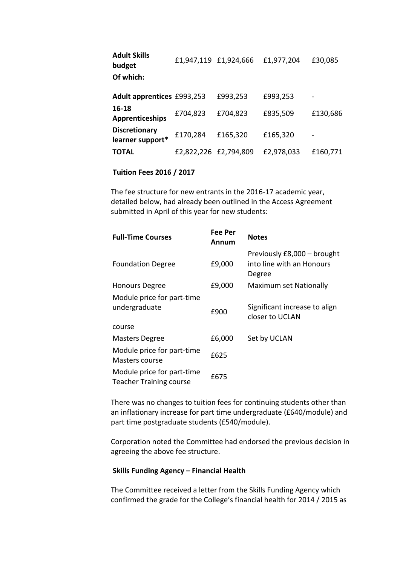| <b>Adult Skills</b><br>budget            |                       | £1,947,119 £1,924,666 | £1,977,204 | £30,085  |
|------------------------------------------|-----------------------|-----------------------|------------|----------|
| Of which:                                |                       |                       |            |          |
| Adult apprentices £993,253               |                       | £993,253              | £993,253   |          |
| 16-18<br><b>Apprenticeships</b>          | £704,823              | £704,823              | £835,509   | £130,686 |
| <b>Discretionary</b><br>learner support* | £170,284              | £165,320              | £165,320   |          |
| TOTAL                                    | £2,822,226 £2,794,809 |                       | £2,978,033 | £160,771 |

### **Tuition Fees 2016 / 2017**

The fee structure for new entrants in the 2016-17 academic year, detailed below, had already been outlined in the Access Agreement submitted in April of this year for new students:

| <b>Full-Time Courses</b>                                     | Fee Per<br>Annum | <b>Notes</b>                                                       |
|--------------------------------------------------------------|------------------|--------------------------------------------------------------------|
| <b>Foundation Degree</b>                                     | £9,000           | Previously £8,000 - brought<br>into line with an Honours<br>Degree |
| <b>Honours Degree</b>                                        | £9,000           | Maximum set Nationally                                             |
| Module price for part-time<br>undergraduate<br>course        | £900             | Significant increase to align<br>closer to UCLAN                   |
| <b>Masters Degree</b>                                        | £6,000           | Set by UCLAN                                                       |
| Module price for part-time<br>Masters course                 | £625             |                                                                    |
| Module price for part-time<br><b>Teacher Training course</b> | £675             |                                                                    |

There was no changes to tuition fees for continuing students other than an inflationary increase for part time undergraduate (£640/module) and part time postgraduate students (£540/module).

Corporation noted the Committee had endorsed the previous decision in agreeing the above fee structure.

## **Skills Funding Agency – Financial Health**

The Committee received a letter from the Skills Funding Agency which confirmed the grade for the College's financial health for 2014 / 2015 as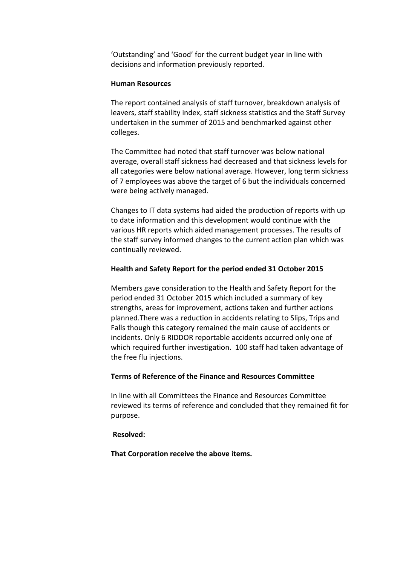'Outstanding' and 'Good' for the current budget year in line with decisions and information previously reported.

# **Human Resources**

The report contained analysis of staff turnover, breakdown analysis of leavers, staff stability index, staff sickness statistics and the Staff Survey undertaken in the summer of 2015 and benchmarked against other colleges.

The Committee had noted that staff turnover was below national average, overall staff sickness had decreased and that sickness levels for all categories were below national average. However, long term sickness of 7 employees was above the target of 6 but the individuals concerned were being actively managed.

Changes to IT data systems had aided the production of reports with up to date information and this development would continue with the various HR reports which aided management processes. The results of the staff survey informed changes to the current action plan which was continually reviewed.

# **Health and Safety Report for the period ended 31 October 2015**

Members gave consideration to the Health and Safety Report for the period ended 31 October 2015 which included a summary of key strengths, areas for improvement, actions taken and further actions planned.There was a reduction in accidents relating to Slips, Trips and Falls though this category remained the main cause of accidents or incidents. Only 6 RIDDOR reportable accidents occurred only one of which required further investigation. 100 staff had taken advantage of the free flu injections.

# **Terms of Reference of the Finance and Resources Committee**

In line with all Committees the Finance and Resources Committee reviewed its terms of reference and concluded that they remained fit for purpose.

### **Resolved:**

**That Corporation receive the above items.**